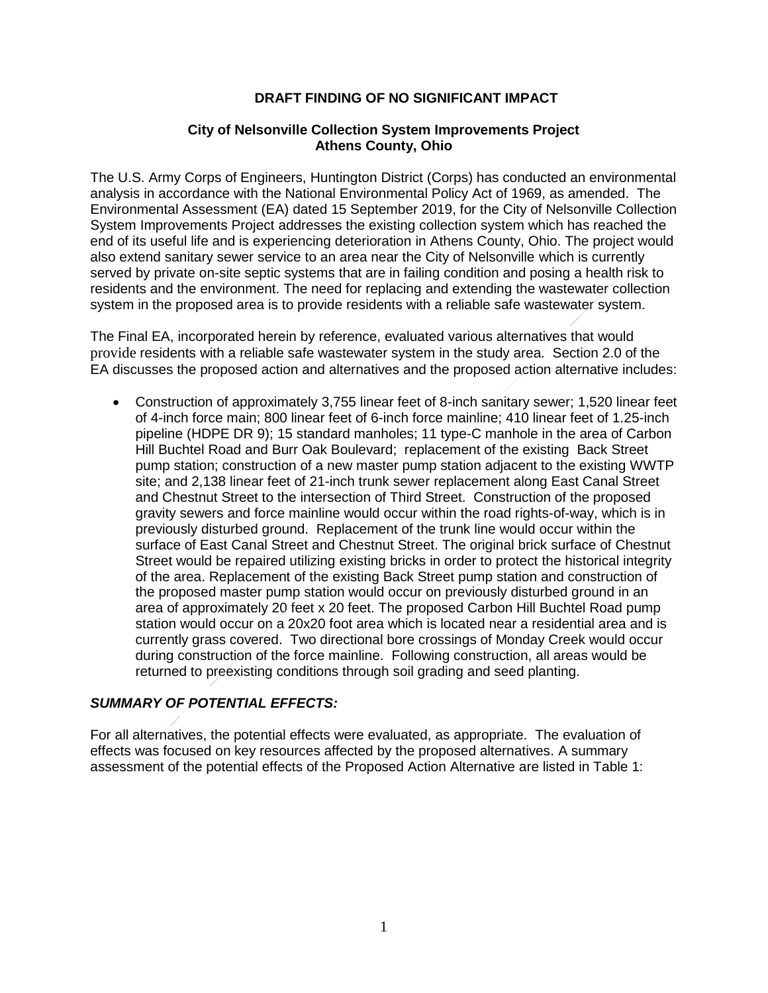## **DRAFT FINDING OF NO SIGNIFICANT IMPACT**

## **City of Nelsonville Collection System Improvements Project Athens County, Ohio**

 The U.S. Army Corps of Engineers, Huntington District (Corps) has conducted an environmental analysis in accordance with the National Environmental Policy Act of 1969, as amended. The Environmental Assessment (EA) dated 15 September 2019, for the City of Nelsonville Collection System Improvements Project addresses the existing collection system which has reached the end of its useful life and is experiencing deterioration in Athens County, Ohio. The project would also extend sanitary sewer service to an area near the City of Nelsonville which is currently served by private on-site septic systems that are in failing condition and posing a health risk to residents and the environment. The need for replacing and extending the wastewater collection ewate<br><sub>der s</sub> system in the proposed area is to provide residents with a reliable safe wastewater system.

 The Final EA, incorporated herein by reference, evaluated various alternatives that would provide residents with a reliable safe wastewater system in the study area. Section 2.0 of the dy are<br>ed act EA discusses the proposed action and alternatives and the proposed action alternative includes:

 Construction of approximately 3,755 linear feet of 8-inch sanitary sewer; 1,520 linear feet of 4-inch force main; 800 linear feet of 6-inch force mainline; 410 linear feet of 1.25-inch pipeline (HDPE DR 9); 15 standard manholes; 11 type-C manhole in the area of Carbon Hill Buchtel Road and Burr Oak Boulevard; replacement of the existing Back Street pump station; construction of a new master pump station adjacent to the existing WWTP site; and 2,138 linear feet of 21-inch trunk sewer replacement along East Canal Street and Chestnut Street to the intersection of Third Street. Construction of the proposed gravity sewers and force mainline would occur within the road rights-of-way, which is in previously disturbed ground. Replacement of the trunk line would occur within the gravity sewers and force mainline would occur within the road rights-of-way, which is in<br>previously disturbed ground. Replacement of the trunk line would occur within the<br>surface of East Canal Street and Chestnut Street. Street would be repaired utilizing existing bricks in order to protect the historical integrity of the area. Replacement of the existing Back Street pump station and construction of area of approximately 20 feet x 20 feet. The proposed Carbon Hill Buchtel Road pump station would occur on a 20x20 foot area which is located near a residential area and is currently grass covered. Two directional bore crossings of Monday Creek would occur during construction of the force mainline. Following construction, all areas would be returned to preexisting conditions through soil grading and seed planting. returned to preexisting conditions through soil grading and seed planting. nent or<br>pump s<br>y 20 fee<br>pp a 20 x the proposed master pump station would occur on previously disturbed ground in an

## *SUMMARY OF POTENTIAL EFFECTS:*

SUMMARY OF POTENTIAL EFFECTS:<br>For all alternatives, the potential effects were evaluated, as appropriate. The evaluation of effects was focused on key resources affected by the proposed alternatives. A summary assessment of the potential effects of the Proposed Action Alternative are listed in Table 1: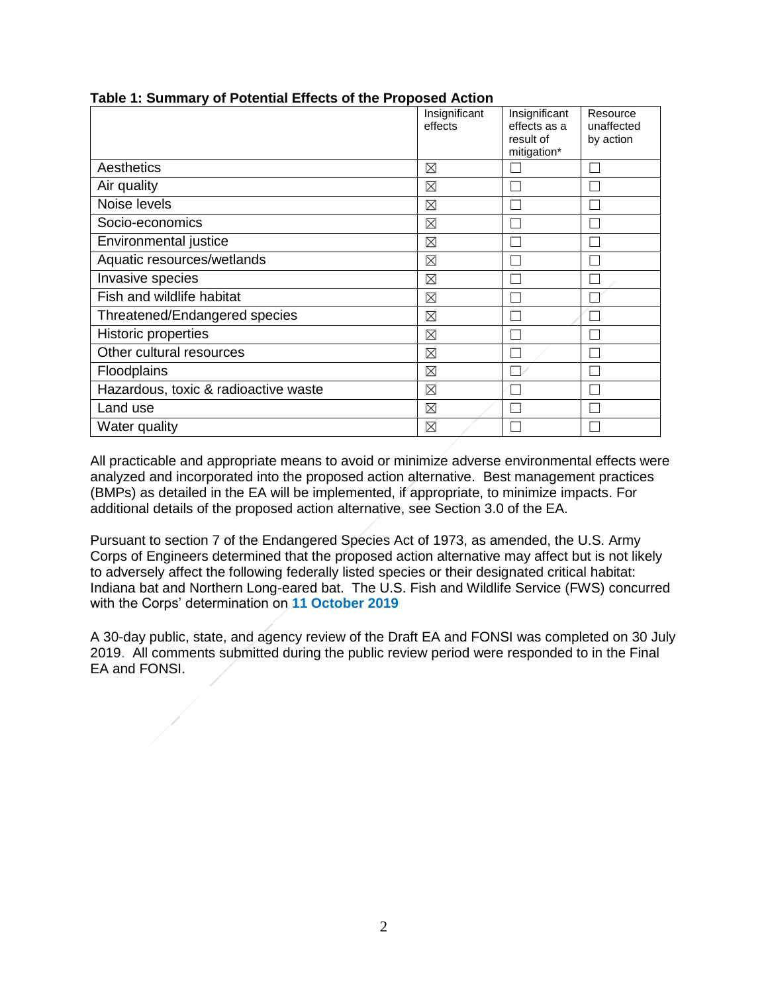|                                      | Insignificant<br>effects | Insignificant<br>effects as a<br>result of<br>mitigation* | Resource<br>unaffected<br>by action |
|--------------------------------------|--------------------------|-----------------------------------------------------------|-------------------------------------|
| Aesthetics                           | ⊠                        |                                                           |                                     |
| Air quality                          | ⊠                        |                                                           |                                     |
| Noise levels                         | ⊠                        |                                                           |                                     |
| Socio-economics                      | $\boxtimes$              |                                                           |                                     |
| Environmental justice                | ⊠                        |                                                           |                                     |
| Aquatic resources/wetlands           | ⊠                        |                                                           |                                     |
| Invasive species                     | $\boxtimes$              |                                                           |                                     |
| Fish and wildlife habitat            | $\boxtimes$              |                                                           |                                     |
| Threatened/Endangered species        | $\boxtimes$              |                                                           |                                     |
| <b>Historic properties</b>           | $\boxtimes$              |                                                           |                                     |
| Other cultural resources             | $\boxtimes$              |                                                           |                                     |
| Floodplains                          | ⊠                        |                                                           |                                     |
| Hazardous, toxic & radioactive waste | $\boxtimes$              |                                                           |                                     |
| Land use                             | ⊠                        |                                                           |                                     |
| Water quality                        | ⊠                        |                                                           |                                     |

## **Table 1: Summary of Potential Effects of the Proposed Action**

 All practicable and appropriate means to avoid or minimize adverse environmental effects were analyzed and incorporated into the proposed action alternative. Best management practices / (BMPs) as detailed in the EA will be implemented, if appropriate, to minimize impacts. For additional details of the proposed action alternative, see Section 3.0 of the EA.

 Pursuant to section 7 of the Endangered Species Act of 1973, as amended, the U.S. Army Corps of Engineers determined that the proposed action alternative may affect but is not likely to adversely affect the following federally listed species or their designated critical habitat: Indiana bat and Northern Long-eared bat. The U.S. Fish and Wildlife Service (FWS) concurred with the Corps' determination on **11 October 2019** 

 / A 30-day public, state, and agency review of the Draft EA and FONSI was completed on 30 July 2019. All comments submitted during the public review period were responded to in the Final EA and FONSI. /

/